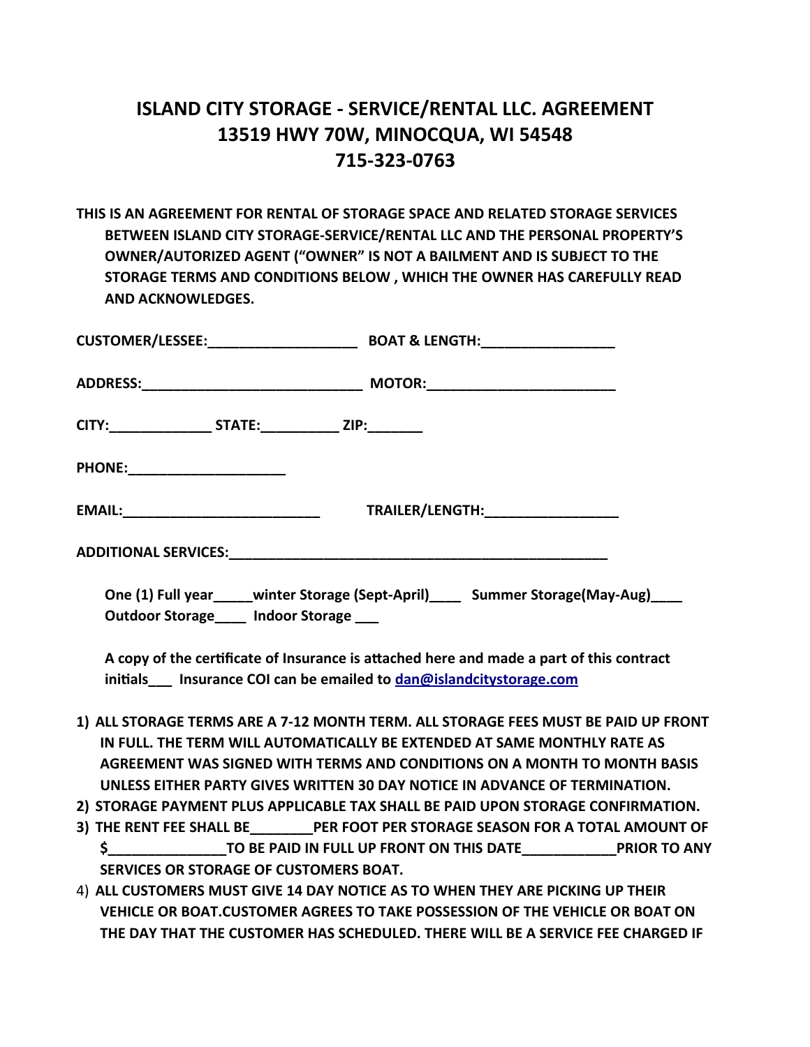## **ISLAND CITY STORAGE - SERVICE/RENTAL LLC. AGREEMENT 13519 HWY 70W, MINOCQUA, WI 54548 715-323-0763**

**THIS IS AN AGREEMENT FOR RENTAL OF STORAGE SPACE AND RELATED STORAGE SERVICES BETWEEN ISLAND CITY STORAGE-SERVICE/RENTAL LLC AND THE PERSONAL PROPERTY'S OWNER/AUTORIZED AGENT ("OWNER" IS NOT A BAILMENT AND IS SUBJECT TO THE STORAGE TERMS AND CONDITIONS BELOW , WHICH THE OWNER HAS CAREFULLY READ AND ACKNOWLEDGES.**

| CITY:______________________STATE:________________ ZIP:__________                                                                                                                                      |                                   |
|-------------------------------------------------------------------------------------------------------------------------------------------------------------------------------------------------------|-----------------------------------|
| PHONE:_______________________                                                                                                                                                                         |                                   |
|                                                                                                                                                                                                       | TRAILER/LENGTH:__________________ |
|                                                                                                                                                                                                       |                                   |
| One (1) Full year_____winter Storage (Sept-April)_____ Summer Storage(May-Aug)____<br>the contract of the contract of the contract of the contract of the contract of the contract of the contract of |                                   |

**Outdoor Storage\_\_\_\_ Indoor Storage \_\_\_** 

**A copy of the certificate of Insurance is attached here and made a part of this contract initials\_\_\_ Insurance COI can be emailed to [dan@islandcitystorage.com](mailto:dan@islandcitystorage.com)**

- **1) ALL STORAGE TERMS ARE A 7-12 MONTH TERM. ALL STORAGE FEES MUST BE PAID UP FRONT IN FULL. THE TERM WILL AUTOMATICALLY BE EXTENDED AT SAME MONTHLY RATE AS AGREEMENT WAS SIGNED WITH TERMS AND CONDITIONS ON A MONTH TO MONTH BASIS UNLESS EITHER PARTY GIVES WRITTEN 30 DAY NOTICE IN ADVANCE OF TERMINATION.**
- **2) STORAGE PAYMENT PLUS APPLICABLE TAX SHALL BE PAID UPON STORAGE CONFIRMATION.**
- **3) THE RENT FEE SHALL BE\_\_\_\_\_\_\_\_PER FOOT PER STORAGE SEASON FOR A TOTAL AMOUNT OF \$\_\_\_\_\_\_\_\_\_\_\_\_\_\_\_TO BE PAID IN FULL UP FRONT ON THIS DATE\_\_\_\_\_\_\_\_\_\_\_\_PRIOR TO ANY SERVICES OR STORAGE OF CUSTOMERS BOAT.**
- 4) **ALL CUSTOMERS MUST GIVE 14 DAY NOTICE AS TO WHEN THEY ARE PICKING UP THEIR VEHICLE OR BOAT.CUSTOMER AGREES TO TAKE POSSESSION OF THE VEHICLE OR BOAT ON THE DAY THAT THE CUSTOMER HAS SCHEDULED. THERE WILL BE A SERVICE FEE CHARGED IF**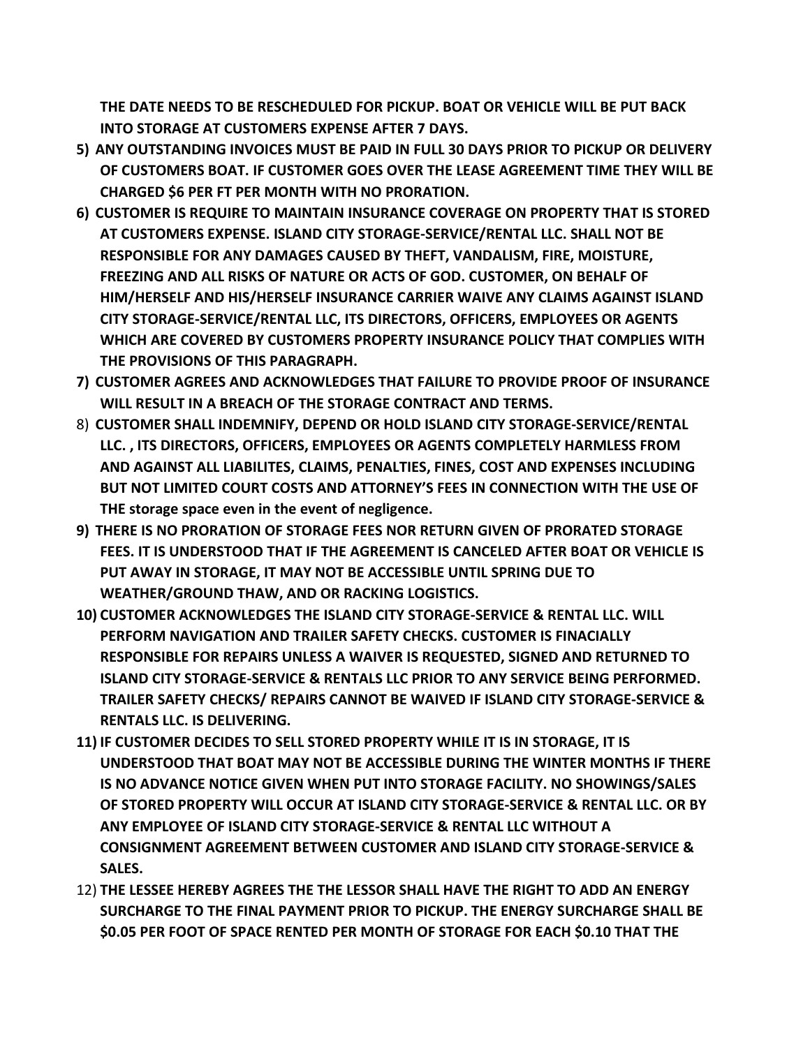**THE DATE NEEDS TO BE RESCHEDULED FOR PICKUP. BOAT OR VEHICLE WILL BE PUT BACK INTO STORAGE AT CUSTOMERS EXPENSE AFTER 7 DAYS.**

- **5) ANY OUTSTANDING INVOICES MUST BE PAID IN FULL 30 DAYS PRIOR TO PICKUP OR DELIVERY OF CUSTOMERS BOAT. IF CUSTOMER GOES OVER THE LEASE AGREEMENT TIME THEY WILL BE CHARGED \$6 PER FT PER MONTH WITH NO PRORATION.**
- **6) CUSTOMER IS REQUIRE TO MAINTAIN INSURANCE COVERAGE ON PROPERTY THAT IS STORED AT CUSTOMERS EXPENSE. ISLAND CITY STORAGE-SERVICE/RENTAL LLC. SHALL NOT BE RESPONSIBLE FOR ANY DAMAGES CAUSED BY THEFT, VANDALISM, FIRE, MOISTURE, FREEZING AND ALL RISKS OF NATURE OR ACTS OF GOD. CUSTOMER, ON BEHALF OF HIM/HERSELF AND HIS/HERSELF INSURANCE CARRIER WAIVE ANY CLAIMS AGAINST ISLAND CITY STORAGE-SERVICE/RENTAL LLC, ITS DIRECTORS, OFFICERS, EMPLOYEES OR AGENTS WHICH ARE COVERED BY CUSTOMERS PROPERTY INSURANCE POLICY THAT COMPLIES WITH THE PROVISIONS OF THIS PARAGRAPH.**
- **7) CUSTOMER AGREES AND ACKNOWLEDGES THAT FAILURE TO PROVIDE PROOF OF INSURANCE WILL RESULT IN A BREACH OF THE STORAGE CONTRACT AND TERMS.**
- 8) **CUSTOMER SHALL INDEMNIFY, DEPEND OR HOLD ISLAND CITY STORAGE-SERVICE/RENTAL LLC. , ITS DIRECTORS, OFFICERS, EMPLOYEES OR AGENTS COMPLETELY HARMLESS FROM AND AGAINST ALL LIABILITES, CLAIMS, PENALTIES, FINES, COST AND EXPENSES INCLUDING BUT NOT LIMITED COURT COSTS AND ATTORNEY'S FEES IN CONNECTION WITH THE USE OF THE storage space even in the event of negligence.**
- **9) THERE IS NO PRORATION OF STORAGE FEES NOR RETURN GIVEN OF PRORATED STORAGE FEES. IT IS UNDERSTOOD THAT IF THE AGREEMENT IS CANCELED AFTER BOAT OR VEHICLE IS PUT AWAY IN STORAGE, IT MAY NOT BE ACCESSIBLE UNTIL SPRING DUE TO WEATHER/GROUND THAW, AND OR RACKING LOGISTICS.**
- **10) CUSTOMER ACKNOWLEDGES THE ISLAND CITY STORAGE-SERVICE & RENTAL LLC. WILL PERFORM NAVIGATION AND TRAILER SAFETY CHECKS. CUSTOMER IS FINACIALLY RESPONSIBLE FOR REPAIRS UNLESS A WAIVER IS REQUESTED, SIGNED AND RETURNED TO ISLAND CITY STORAGE-SERVICE & RENTALS LLC PRIOR TO ANY SERVICE BEING PERFORMED. TRAILER SAFETY CHECKS/ REPAIRS CANNOT BE WAIVED IF ISLAND CITY STORAGE-SERVICE & RENTALS LLC. IS DELIVERING.**
- **11) IF CUSTOMER DECIDES TO SELL STORED PROPERTY WHILE IT IS IN STORAGE, IT IS UNDERSTOOD THAT BOAT MAY NOT BE ACCESSIBLE DURING THE WINTER MONTHS IF THERE IS NO ADVANCE NOTICE GIVEN WHEN PUT INTO STORAGE FACILITY. NO SHOWINGS/SALES OF STORED PROPERTY WILL OCCUR AT ISLAND CITY STORAGE-SERVICE & RENTAL LLC. OR BY ANY EMPLOYEE OF ISLAND CITY STORAGE-SERVICE & RENTAL LLC WITHOUT A CONSIGNMENT AGREEMENT BETWEEN CUSTOMER AND ISLAND CITY STORAGE-SERVICE & SALES.**
- 12) **THE LESSEE HEREBY AGREES THE THE LESSOR SHALL HAVE THE RIGHT TO ADD AN ENERGY SURCHARGE TO THE FINAL PAYMENT PRIOR TO PICKUP. THE ENERGY SURCHARGE SHALL BE \$0.05 PER FOOT OF SPACE RENTED PER MONTH OF STORAGE FOR EACH \$0.10 THAT THE**